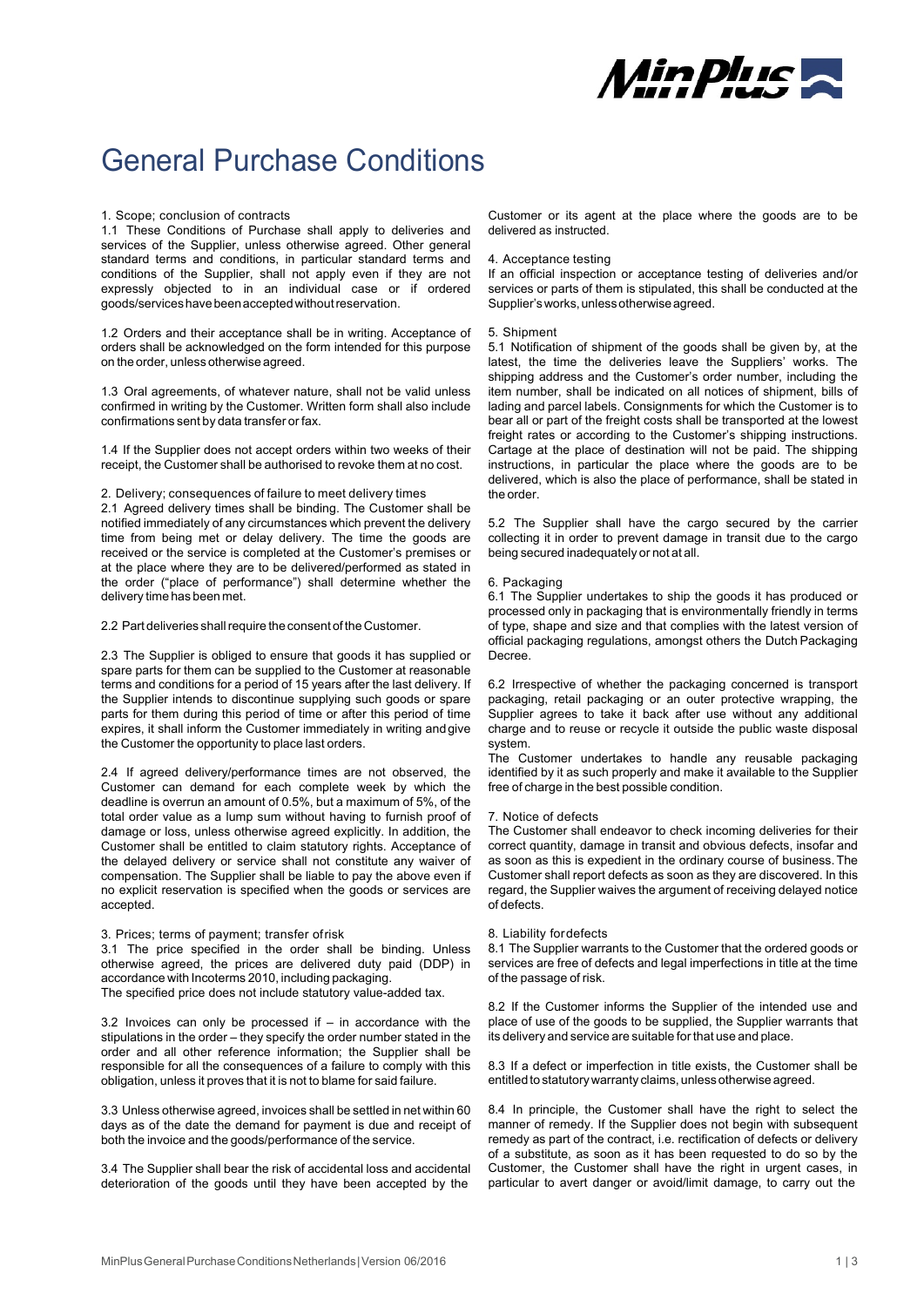

# General Purchase Conditions

# 1. Scope; conclusion of contracts

1.1 These Conditions of Purchase shall apply to deliveries and services of the Supplier, unless otherwise agreed. Other general standard terms and conditions, in particular standard terms and conditions of the Supplier, shall not apply even if they are not expressly objected to in an individual case or if ordered goods/services have been accepted without reservation.

1.2 Orders and their acceptance shall be in writing. Acceptance of orders shall be acknowledged on the form intended for this purpose on the order, unless otherwise agreed.

1.3 Oral agreements, of whatever nature, shall not be valid unless confirmed in writing by the Customer. Written form shall also include confirmations sent by data transfer or fax.

1.4 If the Supplier does not accept orders within two weeks of their receipt, the Customer shall be authorised to revoke them at no cost.

## 2. Delivery; consequences of failure to meet delivery times

2.1 Agreed delivery times shall be binding. The Customer shall be notified immediately of any circumstances which prevent the delivery time from being met or delay delivery. The time the goods are received or the service is completed at the Customer's premises or at the place where they are to be delivered/performed as stated in the order ("place of performance") shall determine whether the delivery time has been met.

2.2 Part deliveries shall require the consent of the Customer.

2.3 The Supplier is obliged to ensure that goods it has supplied or spare parts for them can be supplied to the Customer at reasonable terms and conditions for a period of 15 years after the last delivery. If the Supplier intends to discontinue supplying such goods or spare parts for them during this period of time or after this period of time expires, it shall inform the Customer immediately in writing and give the Customer the opportunity to place last orders.

2.4 If agreed delivery/performance times are not observed, the Customer can demand for each complete week by which the deadline is overrun an amount of 0.5%, but a maximum of 5%, of the total order value as a lump sum without having to furnish proof of damage or loss, unless otherwise agreed explicitly. In addition, the Customer shall be entitled to claim statutory rights. Acceptance of the delayed delivery or service shall not constitute any waiver of compensation. The Supplier shall be liable to pay the above even if no explicit reservation is specified when the goods or services are accepted.

## 3. Prices; terms of payment; transfer of risk

3.1 The price specified in the order shall be binding. Unless otherwise agreed, the prices are delivered duty paid (DDP) in accordance with Incoterms 2010, including packaging.

The specified price does not include statutory value-added tax.

3.2 Invoices can only be processed if – in accordance with the stipulations in the order – they specify the order number stated in the order and all other reference information; the Supplier shall be responsible for all the consequences of a failure to comply with this obligation, unless it proves that it is not to blame for said failure.

3.3 Unless otherwise agreed, invoices shall be settled in net within 60 days as of the date the demand for payment is due and receipt of both the invoice and the goods/performance of the service.

3.4 The Supplier shall bear the risk of accidental loss and accidental deterioration of the goods until they have been accepted by the

Customer or its agent at the place where the goods are to be delivered as instructed.

## 4. Acceptance testing

If an official inspection or acceptance testing of deliveries and/or services or parts of them is stipulated, this shall be conducted at the Supplier's works, unless otherwise agreed.

### 5. Shipment

5.1 Notification of shipment of the goods shall be given by, at the latest, the time the deliveries leave the Suppliers' works. The shipping address and the Customer's order number, including the item number, shall be indicated on all notices of shipment, bills of lading and parcel labels. Consignments for which the Customer is to bear all or part of the freight costs shall be transported at the lowest freight rates or according to the Customer's shipping instructions. Cartage at the place of destination will not be paid. The shipping instructions, in particular the place where the goods are to be delivered, which is also the place of performance, shall be stated in the order.

5.2 The Supplier shall have the cargo secured by the carrier collecting it in order to prevent damage in transit due to the cargo being secured inadequately or not at all.

## 6. Packaging

6.1 The Supplier undertakes to ship the goods it has produced or processed only in packaging that is environmentally friendly in terms of type, shape and size and that complies with the latest version of official packaging regulations, amongst others the Dutch Packaging Decree.

6.2 Irrespective of whether the packaging concerned is transport packaging, retail packaging or an outer protective wrapping, the Supplier agrees to take it back after use without any additional charge and to reuse or recycle it outside the public waste disposal system.

The Customer undertakes to handle any reusable packaging identified by it as such properly and make it available to the Supplier free of charge in the best possible condition.

## 7. Notice of defects

The Customer shall endeavor to check incoming deliveries for their correct quantity, damage in transit and obvious defects, insofar and as soon as this is expedient in the ordinary course of business. The Customer shall report defects as soon as they are discovered. In this regard, the Supplier waives the argument of receiving delayed notice of defects.

## 8. Liability for defects

8.1 The Supplier warrants to the Customer that the ordered goods or services are free of defects and legal imperfections in title at the time of the passage of risk.

8.2 If the Customer informs the Supplier of the intended use and place of use of the goods to be supplied, the Supplier warrants that its delivery and service are suitable for that use and place.

8.3 If a defect or imperfection in title exists, the Customer shall be entitled to statutory warranty claims, unless otherwise agreed.

8.4 In principle, the Customer shall have the right to select the manner of remedy. If the Supplier does not begin with subsequent remedy as part of the contract, i.e. rectification of defects or delivery of a substitute, as soon as it has been requested to do so by the Customer, the Customer shall have the right in urgent cases, in particular to avert danger or avoid/limit damage, to carry out the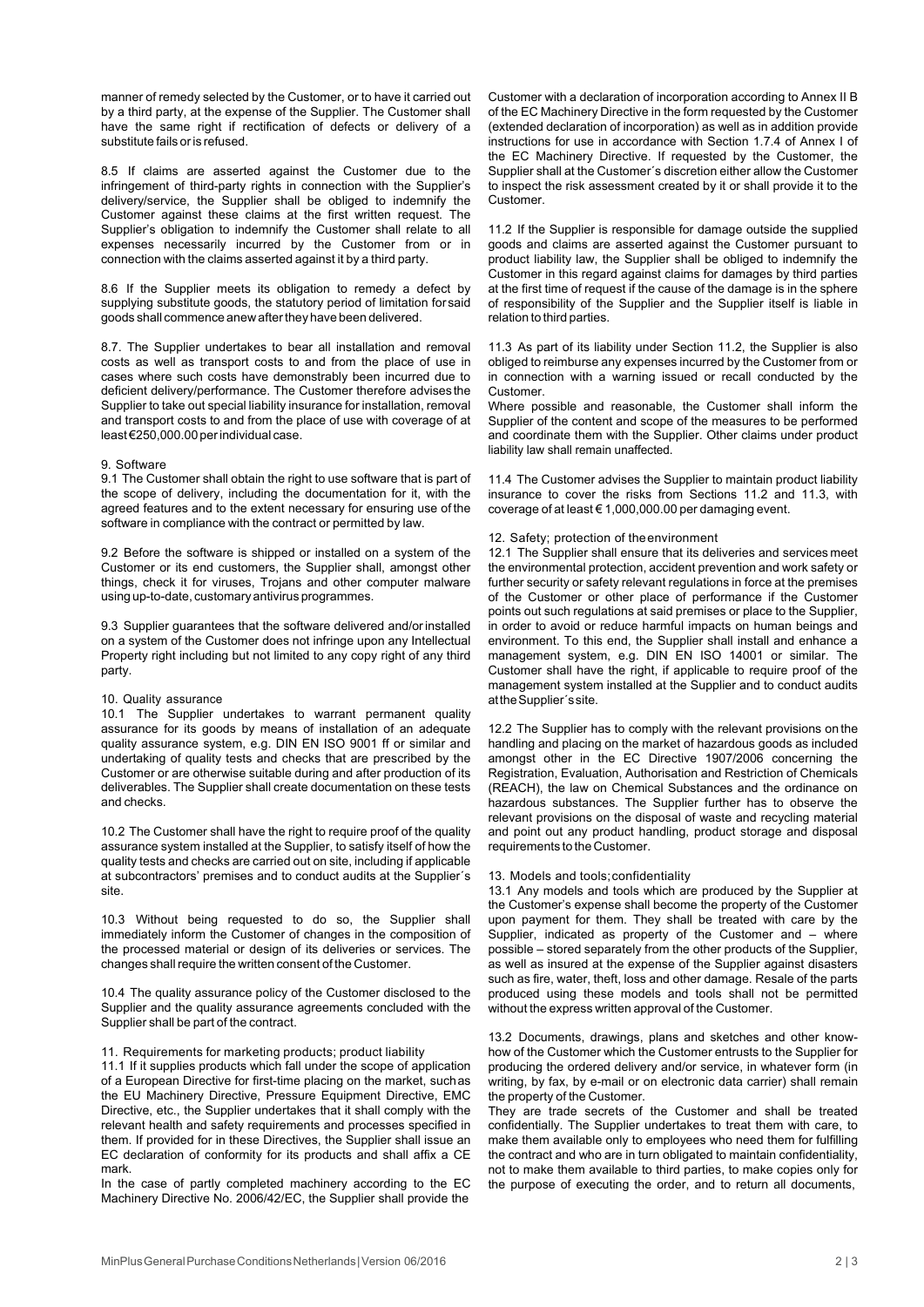manner of remedy selected by the Customer, or to have it carried out by a third party, at the expense of the Supplier. The Customer shall have the same right if rectification of defects or delivery of a substitute fails or is refused.

8.5 If claims are asserted against the Customer due to the infringement of third-party rights in connection with the Supplier's delivery/service, the Supplier shall be obliged to indemnify the Customer against these claims at the first written request. The Supplier's obligation to indemnify the Customer shall relate to all expenses necessarily incurred by the Customer from or in connection with the claims asserted against it by a third party.

8.6 If the Supplier meets its obligation to remedy a defect by supplying substitute goods, the statutory period of limitation for said goods shall commence anew after they have been delivered.

8.7. The Supplier undertakes to bear all installation and removal costs as well as transport costs to and from the place of use in cases where such costs have demonstrably been incurred due to deficient delivery/performance. The Customer therefore advises the Supplier to take out special liability insurance for installation, removal and transport costs to and from the place of use with coverage of at least €250,000.00 per individual case.

## 9. Software

9.1 The Customer shall obtain the right to use software that is part of the scope of delivery, including the documentation for it, with the agreed features and to the extent necessary for ensuring use of the software in compliance with the contract or permitted by law.

9.2 Before the software is shipped or installed on a system of the Customer or its end customers, the Supplier shall, amongst other things, check it for viruses, Trojans and other computer malware using up-to-date, customary antivirus programmes.

9.3 Supplier guarantees that the software delivered and/or installed on a system of the Customer does not infringe upon any Intellectual Property right including but not limited to any copy right of any third party.

## 10. Quality assurance

10.1 The Supplier undertakes to warrant permanent quality assurance for its goods by means of installation of an adequate quality assurance system, e.g. DIN EN ISO 9001 ff or similar and undertaking of quality tests and checks that are prescribed by the Customer or are otherwise suitable during and after production of its deliverables. The Supplier shall create documentation on these tests and checks.

10.2 The Customer shall have the right to require proof of the quality assurance system installed at the Supplier, to satisfy itself of how the quality tests and checks are carried out on site, including if applicable at subcontractors' premises and to conduct audits at the Supplier´s site.

10.3 Without being requested to do so, the Supplier shall immediately inform the Customer of changes in the composition of the processed material or design of its deliveries or services. The changes shall require the written consent of the Customer.

10.4 The quality assurance policy of the Customer disclosed to the Supplier and the quality assurance agreements concluded with the Supplier shall be part of the contract.

## 11. Requirements for marketing products; product liability

11.1 If it supplies products which fall under the scope of application of a European Directive for first-time placing on the market, such as the EU Machinery Directive, Pressure Equipment Directive, EMC Directive, etc., the Supplier undertakes that it shall comply with the relevant health and safety requirements and processes specified in them. If provided for in these Directives, the Supplier shall issue an EC declaration of conformity for its products and shall affix a CE mark.

In the case of partly completed machinery according to the EC Machinery Directive No. 2006/42/EC, the Supplier shall provide the

Customer with a declaration of incorporation according to Annex II B of the EC Machinery Directive in the form requested by the Customer (extended declaration of incorporation) as well as in addition provide instructions for use in accordance with Section 1.7.4 of Annex I of the EC Machinery Directive. If requested by the Customer, the Supplier shall at the Customer´s discretion either allow the Customer to inspect the risk assessment created by it or shall provide it to the Customer.

11.2 If the Supplier is responsible for damage outside the supplied goods and claims are asserted against the Customer pursuant to product liability law, the Supplier shall be obliged to indemnify the Customer in this regard against claims for damages by third parties at the first time of request if the cause of the damage is in the sphere of responsibility of the Supplier and the Supplier itself is liable in relation to third parties.

11.3 As part of its liability under Section 11.2, the Supplier is also obliged to reimburse any expenses incurred by the Customer from or in connection with a warning issued or recall conducted by the Customer.

Where possible and reasonable, the Customer shall inform the Supplier of the content and scope of the measures to be performed and coordinate them with the Supplier. Other claims under product liability law shall remain unaffected.

11.4 The Customer advises the Supplier to maintain product liability insurance to cover the risks from Sections 11.2 and 11.3, with coverage of at least € 1,000,000.00 per damaging event.

# 12. Safety; protection of the environment

12.1 The Supplier shall ensure that its deliveries and services meet the environmental protection, accident prevention and work safety or further security or safety relevant regulations in force at the premises of the Customer or other place of performance if the Customer points out such regulations at said premises or place to the Supplier, in order to avoid or reduce harmful impacts on human beings and environment. To this end, the Supplier shall install and enhance a management system, e.g. DIN EN ISO 14001 or similar. The Customer shall have the right, if applicable to require proof of the management system installed at the Supplier and to conduct audits at the Supplier´s site.

12.2 The Supplier has to comply with the relevant provisions on the handling and placing on the market of hazardous goods as included amongst other in the EC Directive 1907/2006 concerning the Registration, Evaluation, Authorisation and Restriction of Chemicals (REACH), the law on Chemical Substances and the ordinance on hazardous substances. The Supplier further has to observe the relevant provisions on the disposal of waste and recycling material and point out any product handling, product storage and disposal requirements to the Customer.

## 13. Models and tools; confidentiality

13.1 Any models and tools which are produced by the Supplier at the Customer's expense shall become the property of the Customer upon payment for them. They shall be treated with care by the Supplier, indicated as property of the Customer and – where possible – stored separately from the other products of the Supplier, as well as insured at the expense of the Supplier against disasters such as fire, water, theft, loss and other damage. Resale of the parts produced using these models and tools shall not be permitted without the express written approval of the Customer.

13.2 Documents, drawings, plans and sketches and other knowhow of the Customer which the Customer entrusts to the Supplier for producing the ordered delivery and/or service, in whatever form (in writing, by fax, by e-mail or on electronic data carrier) shall remain the property of the Customer.

They are trade secrets of the Customer and shall be treated confidentially. The Supplier undertakes to treat them with care, to make them available only to employees who need them for fulfilling the contract and who are in turn obligated to maintain confidentiality, not to make them available to third parties, to make copies only for the purpose of executing the order, and to return all documents,